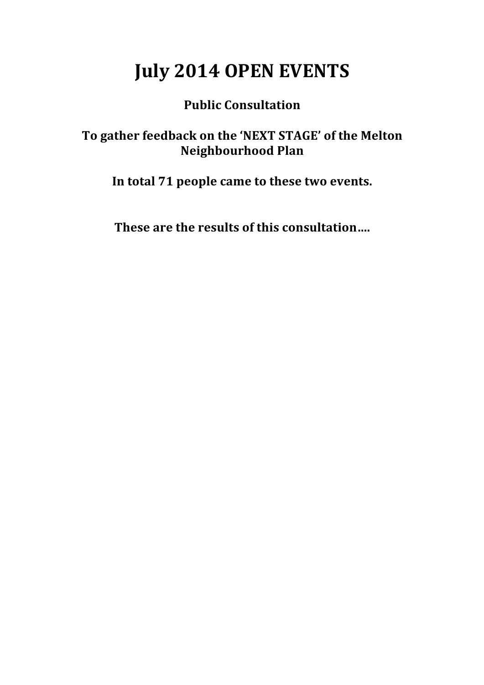## **July 2014 OPEN EVENTS**

#### **Public Consultation**

#### To gather feedback on the 'NEXT STAGE' of the Melton **Neighbourhood Plan**

In total 71 people came to these two events.

**These are the results of this consultation....**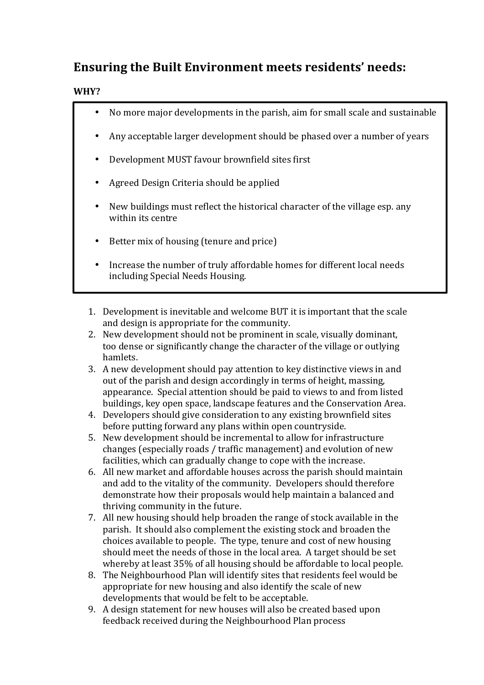### **Ensuring the Built Environment meets residents' needs:**

#### **WHY?**

| $\bullet$ | No more major developments in the parish, aim for small scale and sustainable                               |
|-----------|-------------------------------------------------------------------------------------------------------------|
| $\bullet$ | Any acceptable larger development should be phased over a number of years                                   |
| $\bullet$ | Development MUST favour brownfield sites first                                                              |
| $\bullet$ | Agreed Design Criteria should be applied                                                                    |
| $\bullet$ | New buildings must reflect the historical character of the village esp. any<br>within its centre            |
| ٠         | Better mix of housing (tenure and price)                                                                    |
| $\bullet$ | Increase the number of truly affordable homes for different local needs<br>including Special Needs Housing. |

- 1. Development is inevitable and welcome BUT it is important that the scale and design is appropriate for the community.
- 2. New development should not be prominent in scale, visually dominant, too dense or significantly change the character of the village or outlying hamlets.
- 3. A new development should pay attention to key distinctive views in and out of the parish and design accordingly in terms of height, massing, appearance. Special attention should be paid to views to and from listed buildings, key open space, landscape features and the Conservation Area.
- 4. Developers should give consideration to any existing brownfield sites before putting forward any plans within open countryside.
- 5. New development should be incremental to allow for infrastructure changes (especially roads / traffic management) and evolution of new facilities, which can gradually change to cope with the increase.
- 6. All new market and affordable houses across the parish should maintain and add to the vitality of the community. Developers should therefore demonstrate how their proposals would help maintain a balanced and thriving community in the future.
- 7. All new housing should help broaden the range of stock available in the parish. It should also complement the existing stock and broaden the choices available to people. The type, tenure and cost of new housing should meet the needs of those in the local area. A target should be set whereby at least 35% of all housing should be affordable to local people.
- 8. The Neighbourhood Plan will identify sites that residents feel would be appropriate for new housing and also identify the scale of new developments that would be felt to be acceptable.
- 9. A design statement for new houses will also be created based upon feedback received during the Neighbourhood Plan process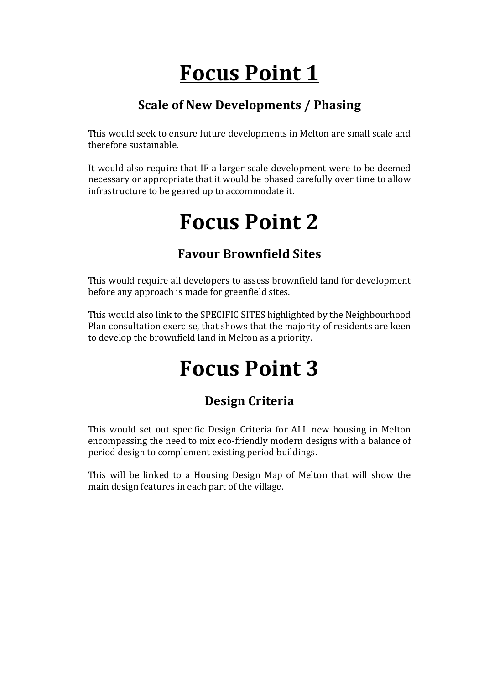# **Focus Point 1**

### **Scale of New Developments / Phasing**

This would seek to ensure future developments in Melton are small scale and therefore sustainable.

It would also require that IF a larger scale development were to be deemed necessary or appropriate that it would be phased carefully over time to allow infrastructure to be geared up to accommodate it.

## **Focus Point 2**

#### **Favour Brownfield Sites**

This would require all developers to assess brownfield land for development before any approach is made for greenfield sites.

This would also link to the SPECIFIC SITES highlighted by the Neighbourhood Plan consultation exercise, that shows that the majority of residents are keen to develop the brownfield land in Melton as a priority.

# **Focus Point 3**

### **Design Criteria**

This would set out specific Design Criteria for ALL new housing in Melton encompassing the need to mix eco-friendly modern designs with a balance of period design to complement existing period buildings.

This will be linked to a Housing Design Map of Melton that will show the main design features in each part of the village.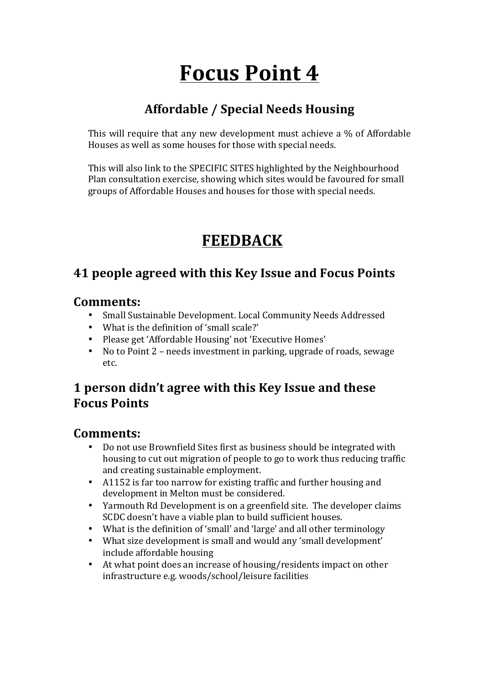# **Focus Point 4**

### **Affordable / Special Needs Housing**

This will require that any new development must achieve a  $\%$  of Affordable Houses as well as some houses for those with special needs.

This will also link to the SPECIFIC SITES highlighted by the Neighbourhood Plan consultation exercise, showing which sites would be favoured for small groups of Affordable Houses and houses for those with special needs.

## **FEEDBACK**

#### **41 people agreed with this Key Issue and Focus Points**

#### **Comments:**

- Small Sustainable Development. Local Community Needs Addressed
- What is the definition of 'small scale?'
- Please get 'Affordable Housing' not 'Executive Homes'
- No to Point 2 needs investment in parking, upgrade of roads, sewage etc.

#### **1 person didn't agree with this Key Issue and these Focus Points**

- Do not use Brownfield Sites first as business should be integrated with housing to cut out migration of people to go to work thus reducing traffic and creating sustainable employment.
- A1152 is far too narrow for existing traffic and further housing and development in Melton must be considered.
- Yarmouth Rd Development is on a greenfield site. The developer claims SCDC doesn't have a viable plan to build sufficient houses.
- What is the definition of 'small' and 'large' and all other terminology
- What size development is small and would any 'small development' include affordable housing
- At what point does an increase of housing/residents impact on other infrastructure e.g. woods/school/leisure facilities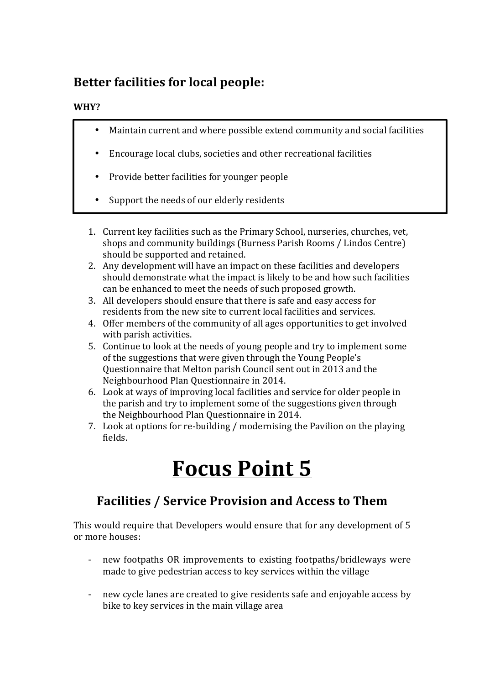### **Better facilities for local people:**

#### **WHY?**

- Maintain current and where possible extend community and social facilities
- Encourage local clubs, societies and other recreational facilities
- Provide better facilities for vounger people
- Support the needs of our elderly residents
- 1. Current key facilities such as the Primary School, nurseries, churches, vet, shops and community buildings (Burness Parish Rooms / Lindos Centre) should be supported and retained.
- 2. Any development will have an impact on these facilities and developers should demonstrate what the impact is likely to be and how such facilities can be enhanced to meet the needs of such proposed growth.
- 3. All developers should ensure that there is safe and easy access for residents from the new site to current local facilities and services.
- 4. Offer members of the community of all ages opportunities to get involved with parish activities.
- 5. Continue to look at the needs of young people and try to implement some of the suggestions that were given through the Young People's Questionnaire that Melton parish Council sent out in 2013 and the Neighbourhood Plan Ouestionnaire in 2014.
- 6. Look at ways of improving local facilities and service for older people in the parish and try to implement some of the suggestions given through the Neighbourhood Plan Ouestionnaire in 2014.
- 7. Look at options for re-building / modernising the Pavilion on the playing fields.

## **Focus Point 5**

### **Facilities / Service Provision and Access to Them**

This would require that Developers would ensure that for any development of 5 or more houses:

- new footpaths OR improvements to existing footpaths/bridleways were made to give pedestrian access to key services within the village
- new cycle lanes are created to give residents safe and enjoyable access by bike to key services in the main village area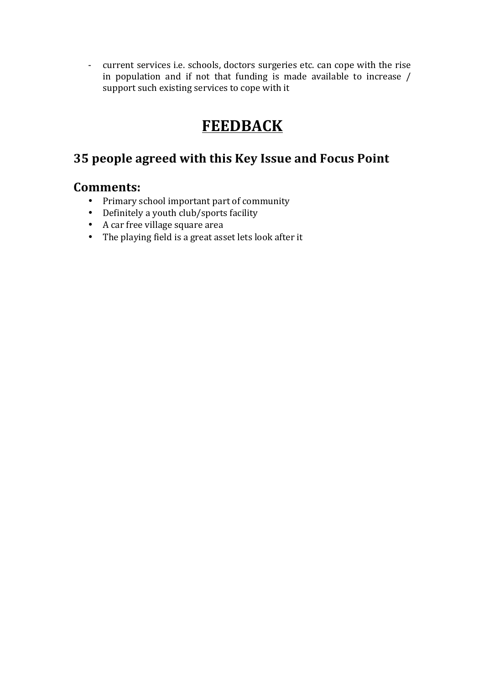- current services i.e. schools, doctors surgeries etc. can cope with the rise in population and if not that funding is made available to increase  $/$ support such existing services to cope with it

## **FEEDBACK**

### **35 people agreed with this Key Issue and Focus Point**

- Primary school important part of community
- Definitely a youth club/sports facility
- A car free village square area
- The playing field is a great asset lets look after it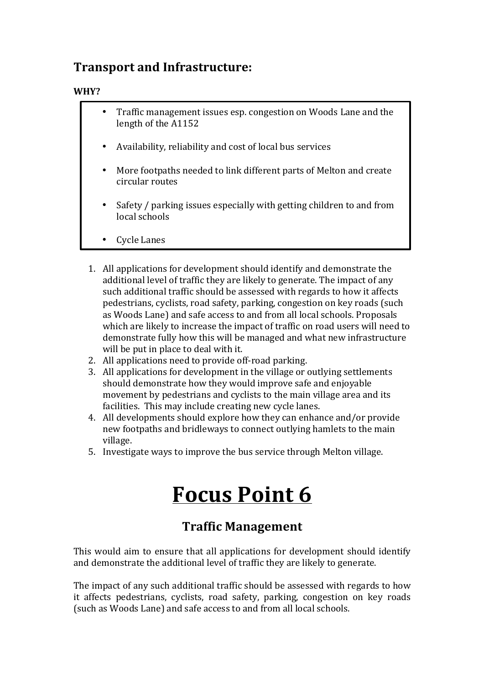#### **Transport and Infrastructure:**

#### **WHY?**

- Traffic management issues esp. congestion on Woods Lane and the length of the A1152
- Availability, reliability and cost of local bus services
- More footpaths needed to link different parts of Melton and create circular routes
- Safety / parking issues especially with getting children to and from local schools
- **Cycle Lanes**
- 1. All applications for development should identify and demonstrate the additional level of traffic they are likely to generate. The impact of any such additional traffic should be assessed with regards to how it affects pedestrians, cyclists, road safety, parking, congestion on key roads (such as Woods Lane) and safe access to and from all local schools. Proposals which are likely to increase the impact of traffic on road users will need to demonstrate fully how this will be managed and what new infrastructure will be put in place to deal with it.
- 2. All applications need to provide off-road parking.
- 3. All applications for development in the village or outlying settlements should demonstrate how they would improve safe and enjoyable movement by pedestrians and cyclists to the main village area and its facilities. This may include creating new cycle lanes.
- 4. All developments should explore how they can enhance and/or provide new footpaths and bridleways to connect outlying hamlets to the main village.
- 5. Investigate ways to improve the bus service through Melton village.

## **Focus Point 6**

#### **Traffic Management**

This would aim to ensure that all applications for development should identify and demonstrate the additional level of traffic they are likely to generate.

The impact of any such additional traffic should be assessed with regards to how it affects pedestrians, cyclists, road safety, parking, congestion on key roads (such as Woods Lane) and safe access to and from all local schools.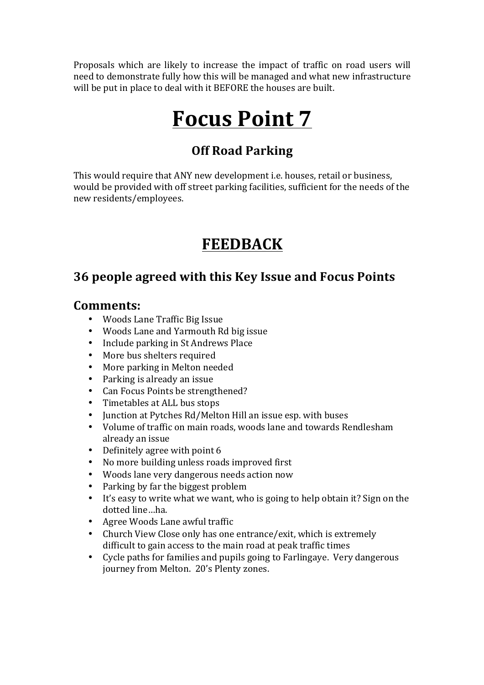Proposals which are likely to increase the impact of traffic on road users will need to demonstrate fully how this will be managed and what new infrastructure will be put in place to deal with it BEFORE the houses are built.

## **Focus Point 7**

#### **Off Road Parking**

This would require that ANY new development *i.e.* houses, retail or business, would be provided with off street parking facilities, sufficient for the needs of the new residents/employees.

## **FEEDBACK**

#### **36 people agreed with this Key Issue and Focus Points**

- Woods Lane Traffic Big Issue
- Woods Lane and Yarmouth Rd big issue
- Include parking in St Andrews Place
- More bus shelters required
- More parking in Melton needed
- $\cdot$  Parking is already an issue
- Can Focus Points be strengthened?
- Timetables at ALL bus stops
- Junction at Pytches Rd/Melton Hill an issue esp. with buses
- Volume of traffic on main roads, woods lane and towards Rendlesham already an issue
- Definitely agree with point 6
- No more building unless roads improved first
- Woods lane very dangerous needs action now
- Parking by far the biggest problem
- It's easy to write what we want, who is going to help obtain it? Sign on the dotted line...ha.
- Agree Woods Lane awful traffic
- Church View Close only has one entrance/exit, which is extremely difficult to gain access to the main road at peak traffic times
- Cycle paths for families and pupils going to Farlingaye. Very dangerous journey from Melton. 20's Plenty zones.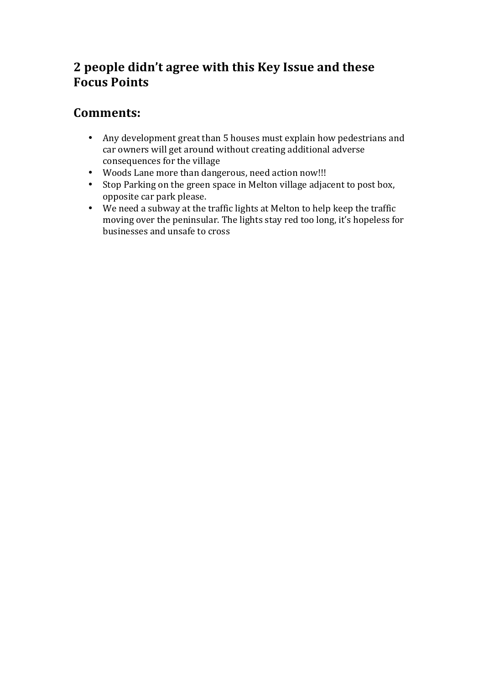#### **2 people didn't agree with this Key Issue and these Focus Points**

- Any development great than 5 houses must explain how pedestrians and car owners will get around without creating additional adverse consequences for the village
- Woods Lane more than dangerous, need action now!!!
- Stop Parking on the green space in Melton village adjacent to post box, opposite car park please.
- We need a subway at the traffic lights at Melton to help keep the traffic moving over the peninsular. The lights stay red too long, it's hopeless for businesses and unsafe to cross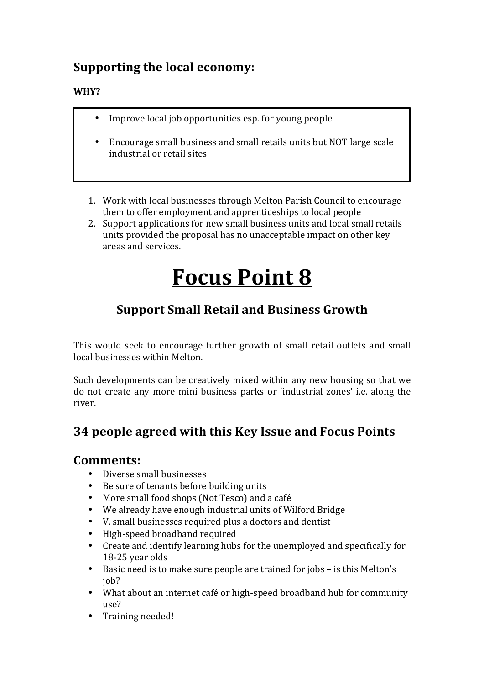#### **Supporting the local economy:**

#### **WHY?**

- Improve local job opportunities esp. for young people
- Encourage small business and small retails units but NOT large scale industrial or retail sites
- 1. Work with local businesses through Melton Parish Council to encourage them to offer employment and apprenticeships to local people
- 2. Support applications for new small business units and local small retails units provided the proposal has no unacceptable impact on other key areas and services.

## **Focus Point 8**

### **Support Small Retail and Business Growth**

This would seek to encourage further growth of small retail outlets and small local businesses within Melton.

Such developments can be creatively mixed within any new housing so that we do not create any more mini business parks or 'industrial zones' i.e. along the river.

#### **34 people agreed with this Key Issue and Focus Points**

- Diverse small businesses
- Be sure of tenants before building units
- More small food shops (Not Tesco) and a café
- We already have enough industrial units of Wilford Bridge
- V. small businesses required plus a doctors and dentist
- High-speed broadband required
- Create and identify learning hubs for the unemployed and specifically for 18-25 year olds
- Basic need is to make sure people are trained for jobs is this Melton's job?
- What about an internet café or high-speed broadband hub for community use?
- Training needed!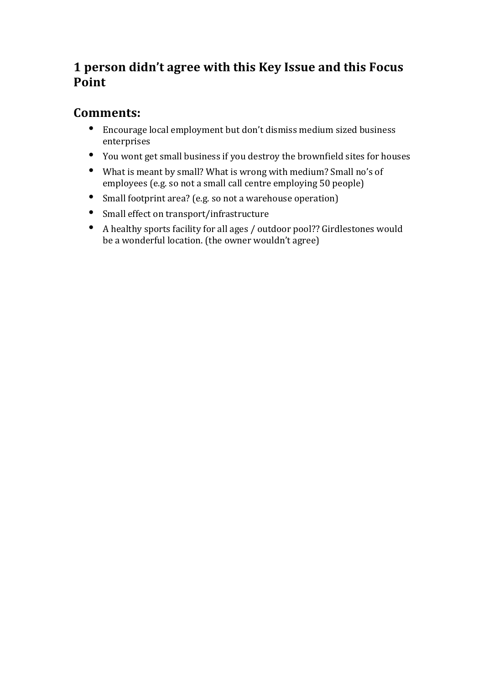#### **1 person didn't agree with this Key Issue and this Focus Point**

- Encourage local employment but don't dismiss medium sized business enterprises
- You wont get small business if you destroy the brownfield sites for houses
- What is meant by small? What is wrong with medium? Small no's of employees (e.g. so not a small call centre employing 50 people)
- Small footprint area? (e.g. so not a warehouse operation)
- Small effect on transport/infrastructure
- A healthy sports facility for all ages / outdoor pool?? Girdlestones would be a wonderful location. (the owner wouldn't agree)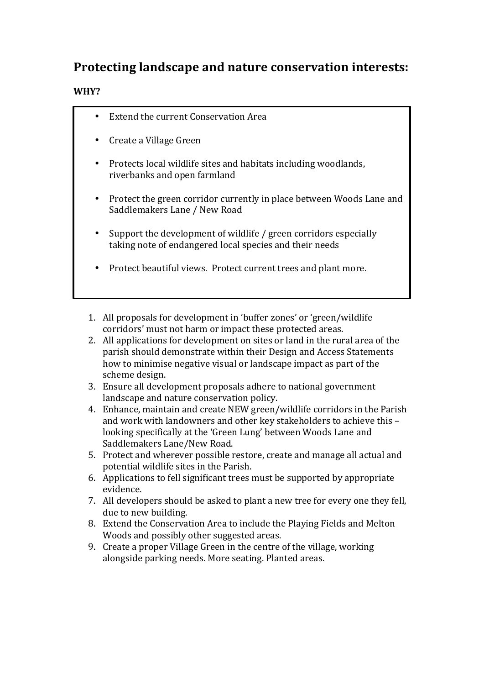#### **Protecting landscape and nature conservation interests:**

#### **WHY?**

- Extend the current Conservation Area
- Create a Village Green
- Protects local wildlife sites and habitats including woodlands, riverbanks and open farmland
- Protect the green corridor currently in place between Woods Lane and Saddlemakers Lane / New Road
- Support the development of wildlife / green corridors especially taking note of endangered local species and their needs
- Protect beautiful views. Protect current trees and plant more.
- 1. All proposals for development in 'buffer zones' or 'green/wildlife corridors' must not harm or impact these protected areas.
- 2. All applications for development on sites or land in the rural area of the parish should demonstrate within their Design and Access Statements how to minimise negative visual or landscape impact as part of the scheme design.
- 3. Ensure all development proposals adhere to national government landscape and nature conservation policy.
- 4. Enhance, maintain and create NEW green/wildlife corridors in the Parish and work with landowners and other key stakeholders to achieve this looking specifically at the 'Green Lung' between Woods Lane and Saddlemakers Lane/New Road.
- 5. Protect and wherever possible restore, create and manage all actual and potential wildlife sites in the Parish.
- 6. Applications to fell significant trees must be supported by appropriate evidence.
- 7. All developers should be asked to plant a new tree for every one they fell, due to new building.
- 8. Extend the Conservation Area to include the Playing Fields and Melton Woods and possibly other suggested areas.
- 9. Create a proper Village Green in the centre of the village, working alongside parking needs. More seating. Planted areas.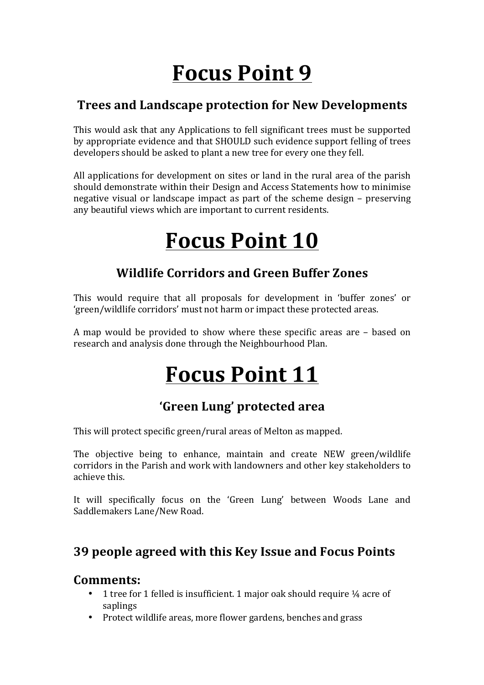# **Focus Point 9**

#### **Trees and Landscape protection for New Developments**

This would ask that any Applications to fell significant trees must be supported by appropriate evidence and that SHOULD such evidence support felling of trees developers should be asked to plant a new tree for every one they fell.

All applications for development on sites or land in the rural area of the parish should demonstrate within their Design and Access Statements how to minimise negative visual or landscape impact as part of the scheme design  $-$  preserving any beautiful views which are important to current residents.

# **Focus Point 10**

#### **Wildlife Corridors and Green Buffer Zones**

This would require that all proposals for development in 'buffer zones' or 'green/wildlife corridors' must not harm or impact these protected areas.

A map would be provided to show where these specific areas are - based on research and analysis done through the Neighbourhood Plan.

## **Focus Point 11**

### **'Green Lung' protected area**

This will protect specific green/rural areas of Melton as mapped.

The objective being to enhance, maintain and create NEW green/wildlife corridors in the Parish and work with landowners and other key stakeholders to achieve this.

It will specifically focus on the 'Green Lung' between Woods Lane and Saddlemakers Lane/New Road.

### **39 people agreed with this Key Issue and Focus Points**

- 1 tree for 1 felled is insufficient. 1 major oak should require  $\frac{1}{4}$  acre of saplings
- Protect wildlife areas, more flower gardens, benches and grass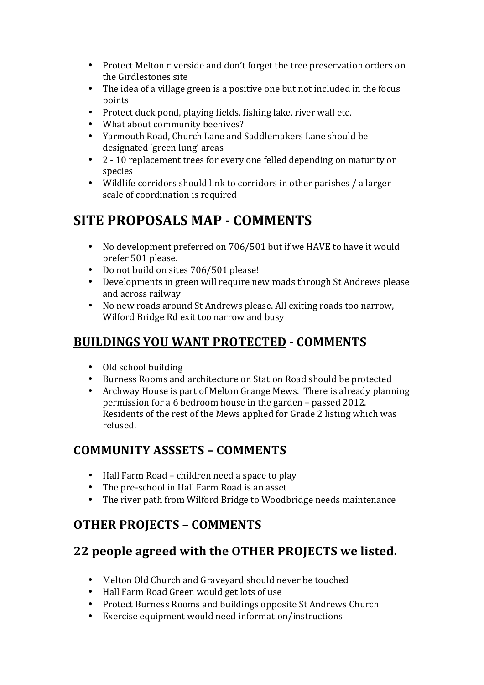- Protect Melton riverside and don't forget the tree preservation orders on the Girdlestones site
- The idea of a village green is a positive one but not included in the focus points
- Protect duck pond, playing fields, fishing lake, river wall etc.
- What about community beehives?
- Yarmouth Road, Church Lane and Saddlemakers Lane should be designated 'green lung' areas
- 2 10 replacement trees for every one felled depending on maturity or species
- Wildlife corridors should link to corridors in other parishes / a larger scale of coordination is required

## **SITE PROPOSALS MAP - COMMENTS**

- No development preferred on 706/501 but if we HAVE to have it would prefer 501 please.
- Do not build on sites 706/501 please!
- Developments in green will require new roads through St Andrews please and across railway
- No new roads around St Andrews please. All exiting roads too narrow, Wilford Bridge Rd exit too narrow and busy

### **BUILDINGS YOU WANT PROTECTED - COMMENTS**

- Old school building
- Burness Rooms and architecture on Station Road should be protected
- Archway House is part of Melton Grange Mews. There is already planning permission for a 6 bedroom house in the garden – passed 2012. Residents of the rest of the Mews applied for Grade 2 listing which was refused.

#### **COMMUNITY ASSSETS – COMMENTS**

- $\bullet$  Hall Farm Road children need a space to play
- The pre-school in Hall Farm Road is an asset
- The river path from Wilford Bridge to Woodbridge needs maintenance

#### **OTHER PROJECTS – COMMENTS**

### **22 people agreed with the OTHER PROJECTS we listed.**

- Melton Old Church and Graveyard should never be touched
- Hall Farm Road Green would get lots of use
- Protect Burness Rooms and buildings opposite St Andrews Church
- Exercise equipment would need information/instructions